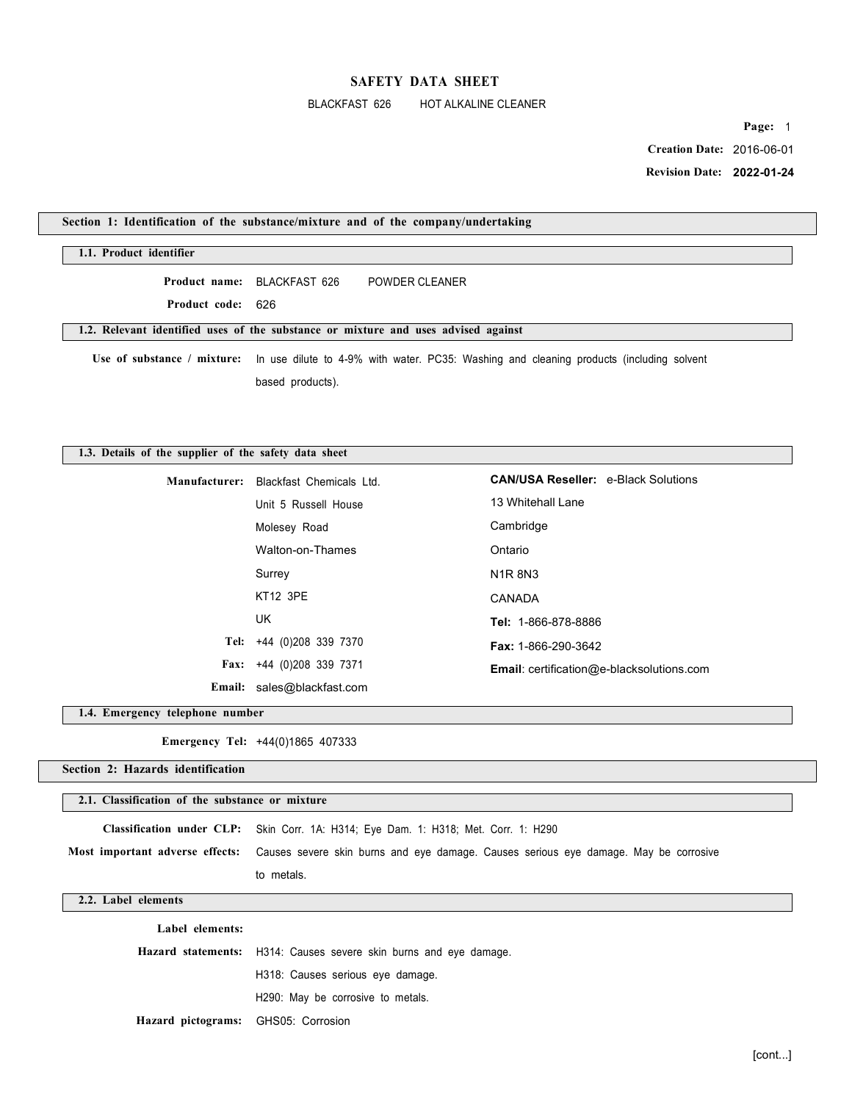# BLACKFAST 626 HOT ALKALINE CLEANER

**Page:** 1  **Creation Date:** 2016-06-01

 **Revision Date: 2022-01-24** 

|                                                       | Section 1: Identification of the substance/mixture and of the company/undertaking        |                                            |
|-------------------------------------------------------|------------------------------------------------------------------------------------------|--------------------------------------------|
| 1.1. Product identifier                               |                                                                                          |                                            |
| Product name:                                         | BLACKFAST 626<br><b>POWDER CLEANER</b>                                                   |                                            |
| Product code:                                         | 626                                                                                      |                                            |
|                                                       | 1.2. Relevant identified uses of the substance or mixture and uses advised against       |                                            |
| Use of substance / mixture:                           | In use dilute to 4-9% with water. PC35: Washing and cleaning products (including solvent |                                            |
|                                                       | based products).                                                                         |                                            |
|                                                       |                                                                                          |                                            |
|                                                       |                                                                                          |                                            |
| 1.3. Details of the supplier of the safety data sheet |                                                                                          |                                            |
| Manufacturer:                                         | Blackfast Chemicals Ltd.                                                                 | <b>CAN/USA Reseller: e-Black Solutions</b> |
|                                                       | Unit 5 Russell House                                                                     | 13 Whitehall Lane                          |
|                                                       | Molesey Road                                                                             | Cambridge                                  |
|                                                       | Walton-on-Thames                                                                         | Ontario                                    |
|                                                       | Surrey                                                                                   | <b>N1R8N3</b>                              |
|                                                       | <b>KT12 3PE</b>                                                                          | CANADA                                     |

**Tel:** +44 (0)208 339 7370 **Fax:** +44 (0)208 339 7371 **Tel:** 1-866-878-8886 **Fax:** 1-866-290-3642 **Email**: certification@e-blacksolutions.com

**Email:** sales@blackfast.com

UK

**1.4. Emergency telephone number** 

**Emergency Tel:** +44(0)1865 407333

**Section 2: Hazards identification** 

**2.1. Classification of the substance or mixture** 

**Classification under CLP:** Skin Corr. 1A: H314; Eye Dam. 1: H318; Met. Corr. 1: H290

**Most important adverse effects:** Causes severe skin burns and eye damage. Causes serious eye damage. May be corrosive to metals.

# **2.2. Label elements**

**Label elements: Hazard statements:** H314: Causes severe skin burns and eye damage. H318: Causes serious eye damage. H290: May be corrosive to metals. **Hazard pictograms:** GHS05: Corrosion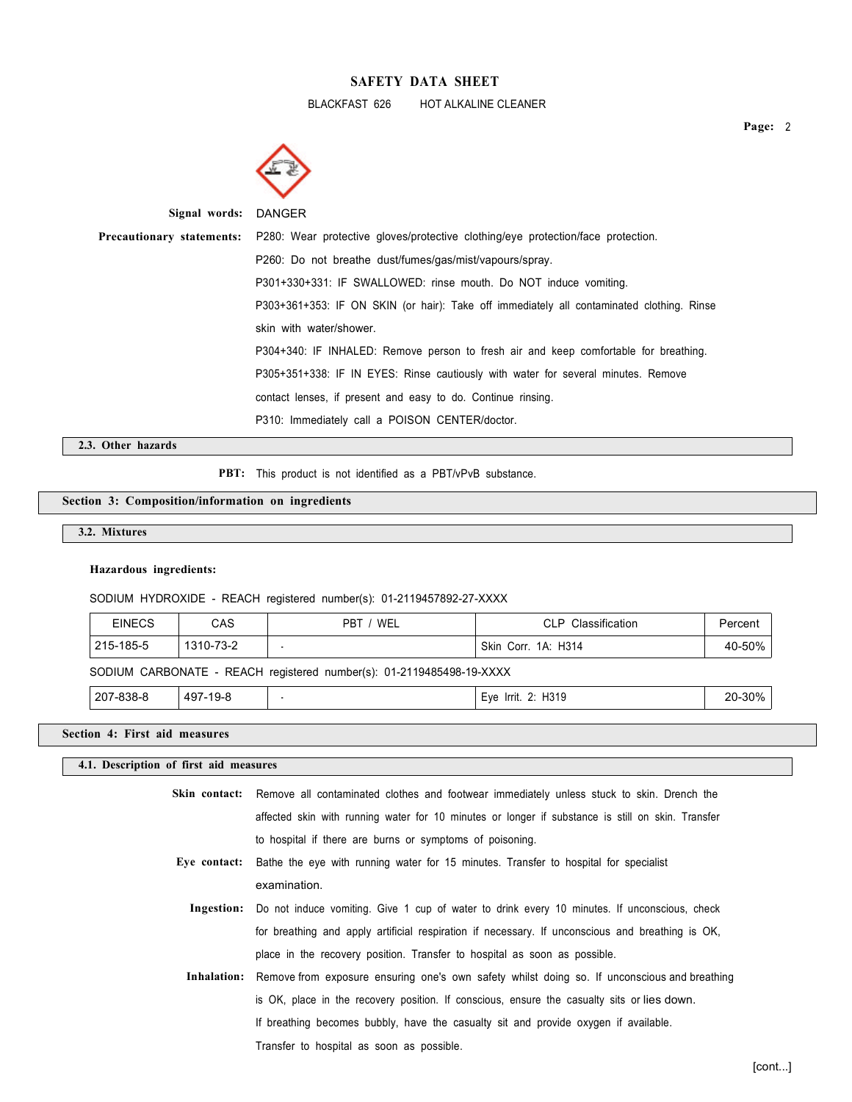BLACKFAST 626 HOT ALKALINE CLEANER



| Signal words: DANGER |                                                                                                                   |  |
|----------------------|-------------------------------------------------------------------------------------------------------------------|--|
|                      | <b>Precautionary statements:</b> P280: Wear protective gloves/protective clothing/eye protection/face protection. |  |
|                      | P260: Do not breathe dust/fumes/gas/mist/vapours/spray.                                                           |  |
|                      | P301+330+331: IF SWALLOWED: rinse mouth. Do NOT induce vomiting.                                                  |  |
|                      | P303+361+353: IF ON SKIN (or hair): Take off immediately all contaminated clothing. Rinse                         |  |
|                      | skin with water/shower.                                                                                           |  |
|                      | P304+340: IF INHALED: Remove person to fresh air and keep comfortable for breathing.                              |  |
|                      | P305+351+338: IF IN EYES: Rinse cautiously with water for several minutes. Remove                                 |  |
|                      | contact lenses, if present and easy to do. Continue rinsing.                                                      |  |
|                      | P310: Immediately call a POISON CENTER/doctor.                                                                    |  |

### **2.3. Other hazards**

PBT: This product is not identified as a PBT/vPvB substance.

# **Section 3: Composition/information on ingredients**

### **3.2. Mixtures**

#### **Hazardous ingredients:**

SODIUM HYDROXIDE - REACH registered number(s): 01-2119457892-27-XXXX

| <b>EINECS</b> | CAS       | PBT / WEL                                                            | CLP Classification  | Percent |
|---------------|-----------|----------------------------------------------------------------------|---------------------|---------|
| 215-185-5     | 1310-73-2 |                                                                      | Skin Corr. 1A: H314 | 40-50%  |
|               |           | SODIUM CARBONATE - REACH registered number(s): 01-2119485498-19-XXXX |                     |         |
| 207-838-8     | 497-19-8  |                                                                      | Eye Irrit. 2: H319  | 20-30%  |

### **Section 4: First aid measures**

# **4.1. Description of first aid measures**

| Skin contact: Remove all contaminated clothes and footwear immediately unless stuck to skin. Drench the |
|---------------------------------------------------------------------------------------------------------|
| affected skin with running water for 10 minutes or longer if substance is still on skin. Transfer       |
| to hospital if there are burns or symptoms of poisoning.                                                |

- **Eye contact:** Bathe the eye with running water for 15 minutes. Transfer to hospital for specialist examination.
	- **Ingestion:** Do not induce vomiting. Give 1 cup of water to drink every 10 minutes. If unconscious, check for breathing and apply artificial respiration if necessary. If unconscious and breathing is OK, place in the recovery position. Transfer to hospital as soon as possible.
	- **Inhalation:** Remove from exposure ensuring one's own safety whilst doing so. If unconscious and breathing is OK, place in the recovery position. If conscious, ensure the casualty sits or lies down. If breathing becomes bubbly, have the casualty sit and provide oxygen if available. Transfer to hospital as soon as possible.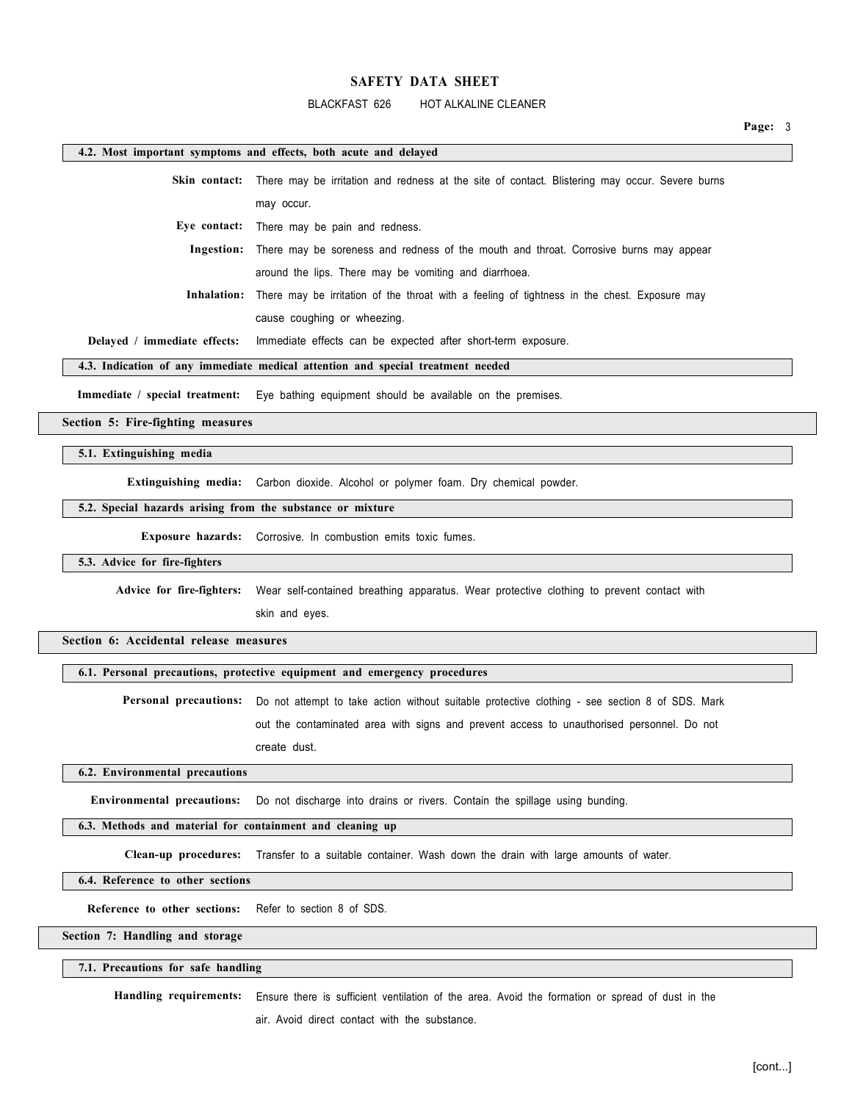### BLACKFAST 626 HOT ALKALINE CLEANER

**Page:** 3

### **4.2. Most important symptoms and effects, both acute and delayed**

**Skin contact:** There may be irritation and redness at the site of contact. Blistering may occur. Severe burns may occur.

**Eye contact:** There may be pain and redness.

**Ingestion:** There may be soreness and redness of the mouth and throat. Corrosive burns may appear around the lips. There may be vomiting and diarrhoea.

**Inhalation:** There may be irritation of the throat with a feeling of tightness in the chest. Exposure may

cause coughing or wheezing.

**Delayed / immediate effects:** Immediate effects can be expected after short-term exposure.

**4.3. Indication of any immediate medical attention and special treatment needed** 

**Immediate / special treatment:** Eye bathing equipment should be available on the premises.

**Section 5: Fire-fighting measures** 

**5.1. Extinguishing media** 

**Extinguishing media:** Carbon dioxide. Alcohol or polymer foam. Dry chemical powder.

# **5.2. Special hazards arising from the substance or mixture**

**Exposure hazards:** Corrosive. In combustion emits toxic fumes.

#### **5.3. Advice for fire-fighters**

**Advice for fire-fighters:** Wear self-contained breathing apparatus. Wear protective clothing to prevent contact with

skin and eyes.

**Section 6: Accidental release measures** 

# **6.1. Personal precautions, protective equipment and emergency procedures**

**Personal precautions:** Do not attempt to take action without suitable protective clothing - see section 8 of SDS. Mark out the contaminated area with signs and prevent access to unauthorised personnel. Do not create dust.

### **6.2. Environmental precautions**

**Environmental precautions:** Do not discharge into drains or rivers. Contain the spillage using bunding.

### **6.3. Methods and material for containment and cleaning up**

**Clean-up procedures:** Transfer to a suitable container. Wash down the drain with large amounts of water.

**6.4. Reference to other sections** 

**Reference to other sections:** Refer to section 8 of SDS.

**Section 7: Handling and storage** 

#### **7.1. Precautions for safe handling**

**Handling requirements:** Ensure there is sufficient ventilation of the area. Avoid the formation or spread of dust in the

air. Avoid direct contact with the substance.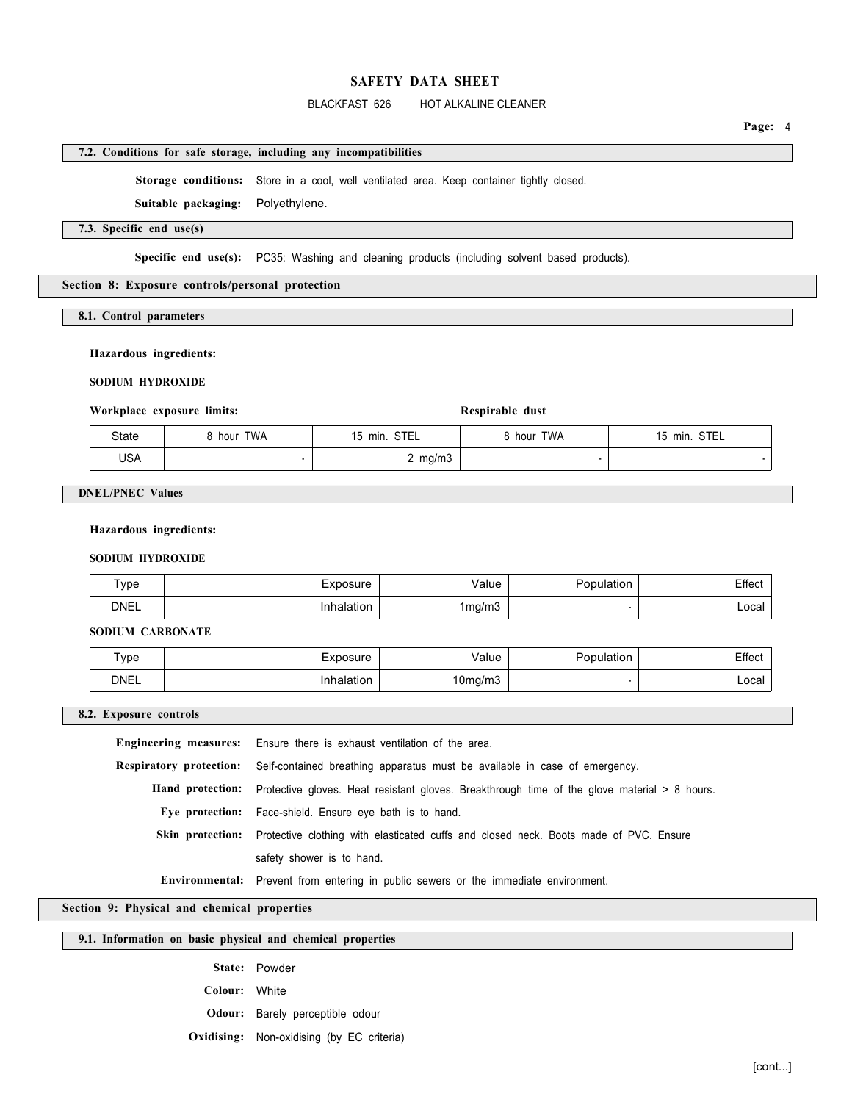### BLACKFAST 626 HOT ALKALINE CLEANER

### **7.2. Conditions for safe storage, including any incompatibilities**

**Storage conditions:** Store in a cool, well ventilated area. Keep container tightly closed.

**Suitable packaging:** Polyethylene.

# **7.3. Specific end use(s)**

Specific end use(s): PC35: Washing and cleaning products (including solvent based products).

#### **Section 8: Exposure controls/personal protection**

**8.1. Control parameters** 

### **Hazardous ingredients:**

**SODIUM HYDROXIDE** 

# Workplace exposure limits: Respirable

| Respirable dust |  |
|-----------------|--|
|-----------------|--|

| State      | hour TWA | STEL<br>15 min. | 8 hour TWA | <b>STEL</b><br>15 min. |  |
|------------|----------|-----------------|------------|------------------------|--|
| <b>USA</b> |          | mg/m3           |            |                        |  |

### **DNEL/PNEC Values**

#### **Hazardous ingredients:**

### **SODIUM HYDROXIDE**

| ⊤уре        | Exposure | alue/       | 1001100100 | Effect |
|-------------|----------|-------------|------------|--------|
| <b>DNEL</b> | alation  | 1mg/m3<br>ັ |            | Local  |

**SODIUM CARBONATE** 

| ype  | voosure  | /alue   | opulation' | ∠ffect  |
|------|----------|---------|------------|---------|
| DNEL | ∖alation | 10mg/m3 |            | ∟ocal ˈ |

**8.2. Exposure controls** 

**Engineering measures:** Ensure there is exhaust ventilation of the area. **Respiratory protection:** Self-contained breathing apparatus must be available in case of emergency. **Hand protection:** Protective gloves. Heat resistant gloves. Breakthrough time of the glove material > 8 hours. **Eye protection:** Face-shield. Ensure eye bath is to hand. **Skin protection:** Protective clothing with elasticated cuffs and closed neck. Boots made of PVC. Ensure safety shower is to hand. **Environmental:** Prevent from entering in public sewers or the immediate environment.

**Section 9: Physical and chemical properties** 

## **9.1. Information on basic physical and chemical properties**

**State:** Powder

**Colour:** White

**Odour:** Barely perceptible odour

**Oxidising:** Non-oxidising (by EC criteria)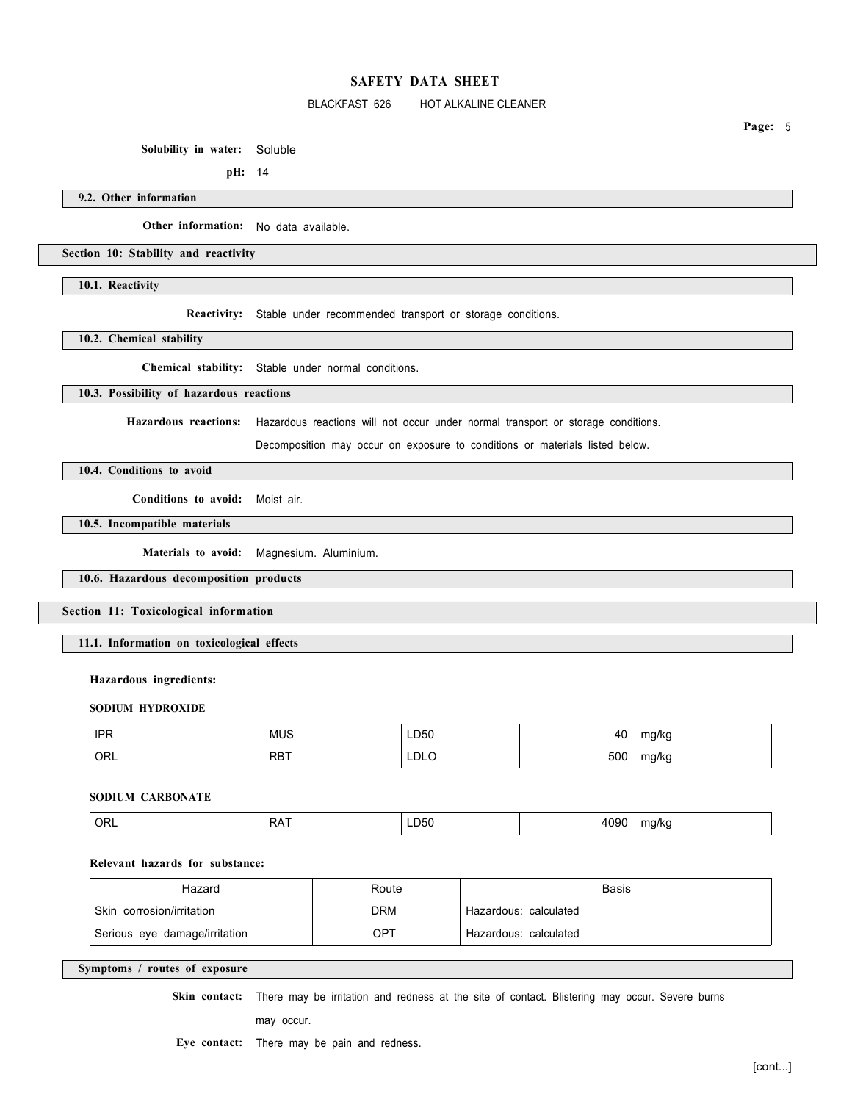## BLACKFAST 626 HOT ALKALINE CLEANER

**Solubility in water:** Soluble

**pH:** 14

**9.2. Other information** 

**Other information:** No data available.

**Section 10: Stability and reactivity** 

**10.1. Reactivity** 

**Reactivity:** Stable under recommended transport or storage conditions.

**10.2. Chemical stability** 

**Chemical stability:** Stable under normal conditions.

# **10.3. Possibility of hazardous reactions**

**Hazardous reactions:** Hazardous reactions will not occur under normal transport or storage conditions.

Decomposition may occur on exposure to conditions or materials listed below.

**10.4. Conditions to avoid** 

**Conditions to avoid:** Moist air.

**10.5. Incompatible materials** 

**Materials to avoid:** Magnesium. Aluminium.

**10.6. Hazardous decomposition products** 

**Section 11: Toxicological information** 

**11.1. Information on toxicological effects** 

### **Hazardous ingredients:**

#### **SODIUM HYDROXIDE**

| HPR <sup>1</sup> | MUS        | LD50<br>__ | 40  | mg/kg |
|------------------|------------|------------|-----|-------|
| ORL              | <b>RBT</b> | LDLO       | 500 | mg/kg |

### **SODIUM CARBONATE**

| ' ORL | . .<br>RΑ<br>. . | LD50 | 4090<br>$\cdot$ | ma/kc |
|-------|------------------|------|-----------------|-------|
|       |                  |      |                 |       |

# **Relevant hazards for substance:**

| Hazard                        | Route      | Basis                 |
|-------------------------------|------------|-----------------------|
| Skin corrosion/irritation     | <b>DRM</b> | Hazardous: calculated |
| Serious eye damage/irritation | OPT        | Hazardous: calculated |

# **Symptoms / routes of exposure**

**Skin contact:** There may be irritation and redness at the site of contact. Blistering may occur. Severe burns

may occur.

**Eye contact:** There may be pain and redness.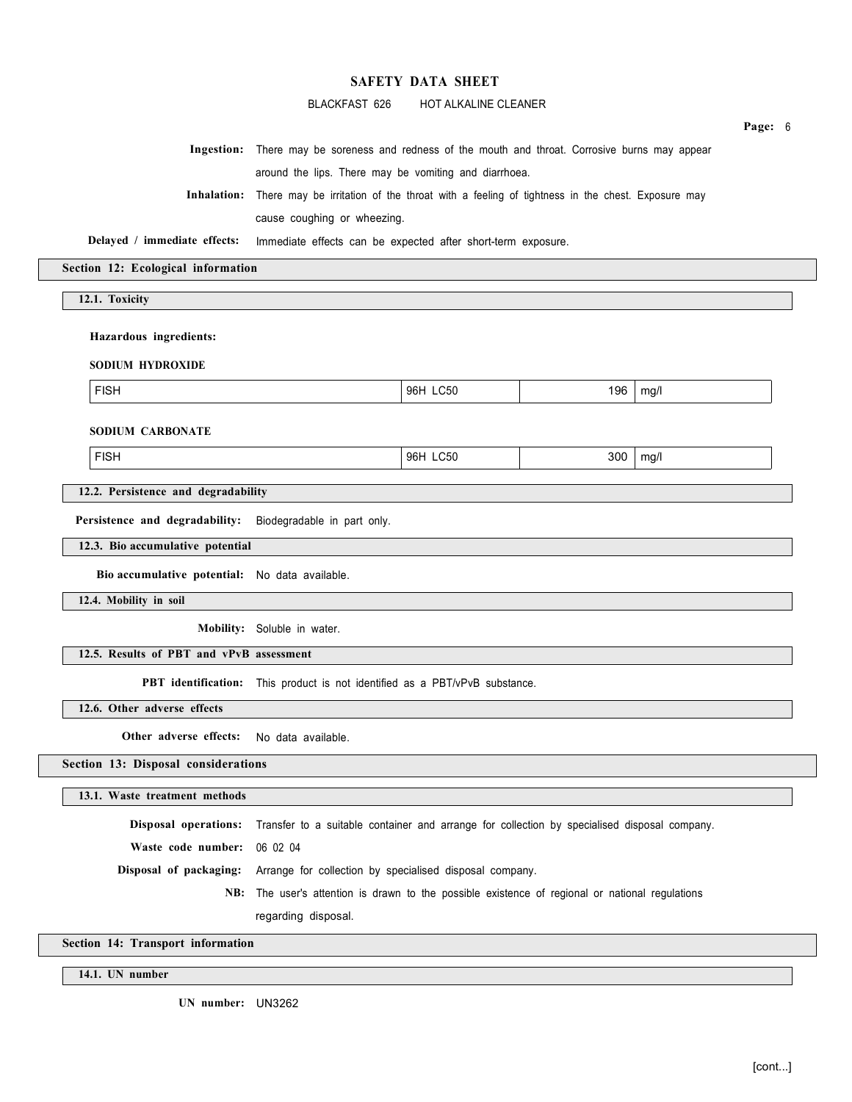### BLACKFAST 626 HOT ALKALINE CLEANER

|                                  | Ingestion: There may be soreness and redness of the mouth and throat. Corrosive burns may appear         |
|----------------------------------|----------------------------------------------------------------------------------------------------------|
|                                  | around the lips. There may be vomiting and diarrhoea.                                                    |
|                                  | Inhalation: There may be irritation of the throat with a feeling of tightness in the chest. Exposure may |
|                                  | cause coughing or wheezing.                                                                              |
|                                  | Delayed / immediate effects: Immediate effects can be expected after short-term exposure.                |
| ction 12: Ecological information |                                                                                                          |
|                                  |                                                                                                          |
| 12.1. Toxicity                   |                                                                                                          |
|                                  |                                                                                                          |
|                                  |                                                                                                          |

**Hazardous ingredients:** 

**SODIUM HYDROXIDE** 

FISH 96H LC50 196 mg/l

**Section 12:** 

**SODIUM CARBONATE** 

FISH 96H LC50 300 mg/l

**12.2. Persistence and degradability** 

**Persistence and degradability:** Biodegradable in part only.

**12.3. Bio accumulative potential** 

**Bio accumulative potential:** No data available.

**12.4. Mobility in soil** 

**Mobility:** Soluble in water.

**12.5. Results of PBT and vPvB assessment** 

**PBT identification:** This product is not identified as a PBT/vPvB substance.

**12.6. Other adverse effects** 

**Other adverse effects:** No data available.

**Section 13: Disposal considerations** 

**13.1. Waste treatment methods** 

**Disposal operations:** Transfer to a suitable container and arrange for collection by specialised disposal company.

**Waste code number:** 06 02 04

**Disposal of packaging:** Arrange for collection by specialised disposal company.

**NB:** The user's attention is drawn to the possible existence of regional or national regulations

regarding disposal.

**Section 14: Transport information** 

**14.1. UN number** 

**UN number:** UN3262